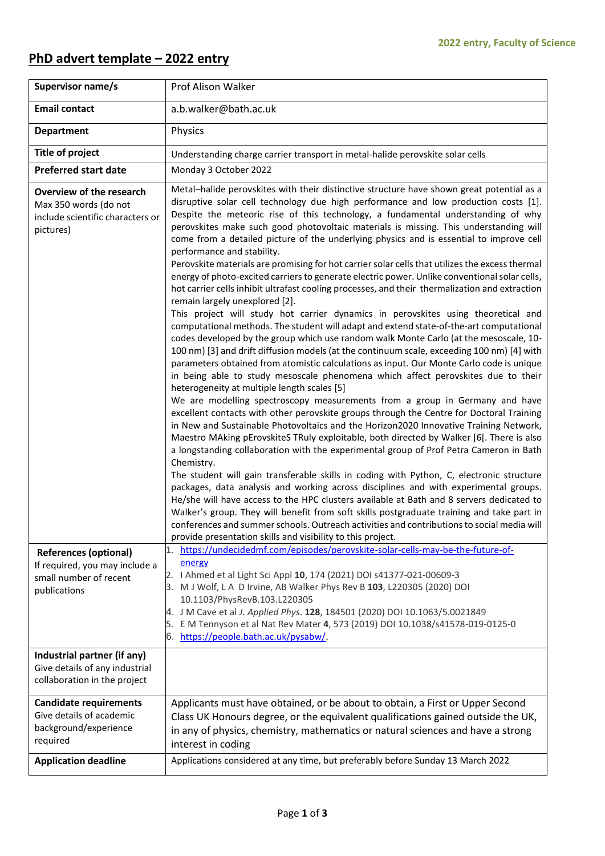## **PhD advert template – 2022 entry**

| Supervisor name/s                                                                                        | Prof Alison Walker                                                                                                                                                                                                                                                                                                                                                                                                                                                                                                                                                                                                                                                                                                                                                                                                                                                                                                                                                                                                                                                                                                                                                                                                                                                                                                                                                                                                                                                                                                                                                                                                                                                                                                                                                                                                                                                                                                                                                                                                                                                                                                                                                                                                                                                                                                                                                                                                                                     |  |  |  |  |  |
|----------------------------------------------------------------------------------------------------------|--------------------------------------------------------------------------------------------------------------------------------------------------------------------------------------------------------------------------------------------------------------------------------------------------------------------------------------------------------------------------------------------------------------------------------------------------------------------------------------------------------------------------------------------------------------------------------------------------------------------------------------------------------------------------------------------------------------------------------------------------------------------------------------------------------------------------------------------------------------------------------------------------------------------------------------------------------------------------------------------------------------------------------------------------------------------------------------------------------------------------------------------------------------------------------------------------------------------------------------------------------------------------------------------------------------------------------------------------------------------------------------------------------------------------------------------------------------------------------------------------------------------------------------------------------------------------------------------------------------------------------------------------------------------------------------------------------------------------------------------------------------------------------------------------------------------------------------------------------------------------------------------------------------------------------------------------------------------------------------------------------------------------------------------------------------------------------------------------------------------------------------------------------------------------------------------------------------------------------------------------------------------------------------------------------------------------------------------------------------------------------------------------------------------------------------------------------|--|--|--|--|--|
| <b>Email contact</b>                                                                                     | a.b.walker@bath.ac.uk                                                                                                                                                                                                                                                                                                                                                                                                                                                                                                                                                                                                                                                                                                                                                                                                                                                                                                                                                                                                                                                                                                                                                                                                                                                                                                                                                                                                                                                                                                                                                                                                                                                                                                                                                                                                                                                                                                                                                                                                                                                                                                                                                                                                                                                                                                                                                                                                                                  |  |  |  |  |  |
| <b>Department</b>                                                                                        | Physics                                                                                                                                                                                                                                                                                                                                                                                                                                                                                                                                                                                                                                                                                                                                                                                                                                                                                                                                                                                                                                                                                                                                                                                                                                                                                                                                                                                                                                                                                                                                                                                                                                                                                                                                                                                                                                                                                                                                                                                                                                                                                                                                                                                                                                                                                                                                                                                                                                                |  |  |  |  |  |
| <b>Title of project</b>                                                                                  | Understanding charge carrier transport in metal-halide perovskite solar cells                                                                                                                                                                                                                                                                                                                                                                                                                                                                                                                                                                                                                                                                                                                                                                                                                                                                                                                                                                                                                                                                                                                                                                                                                                                                                                                                                                                                                                                                                                                                                                                                                                                                                                                                                                                                                                                                                                                                                                                                                                                                                                                                                                                                                                                                                                                                                                          |  |  |  |  |  |
| <b>Preferred start date</b>                                                                              | Monday 3 October 2022                                                                                                                                                                                                                                                                                                                                                                                                                                                                                                                                                                                                                                                                                                                                                                                                                                                                                                                                                                                                                                                                                                                                                                                                                                                                                                                                                                                                                                                                                                                                                                                                                                                                                                                                                                                                                                                                                                                                                                                                                                                                                                                                                                                                                                                                                                                                                                                                                                  |  |  |  |  |  |
| Overview of the research<br>Max 350 words (do not<br>include scientific characters or<br>pictures)       | Metal-halide perovskites with their distinctive structure have shown great potential as a<br>disruptive solar cell technology due high performance and low production costs [1].<br>Despite the meteoric rise of this technology, a fundamental understanding of why<br>perovskites make such good photovoltaic materials is missing. This understanding will<br>come from a detailed picture of the underlying physics and is essential to improve cell<br>performance and stability.<br>Perovskite materials are promising for hot carrier solar cells that utilizes the excess thermal<br>energy of photo-excited carriers to generate electric power. Unlike conventional solar cells,<br>hot carrier cells inhibit ultrafast cooling processes, and their thermalization and extraction<br>remain largely unexplored [2].<br>This project will study hot carrier dynamics in perovskites using theoretical and<br>computational methods. The student will adapt and extend state-of-the-art computational<br>codes developed by the group which use random walk Monte Carlo (at the mesoscale, 10-<br>100 nm) [3] and drift diffusion models (at the continuum scale, exceeding 100 nm) [4] with<br>parameters obtained from atomistic calculations as input. Our Monte Carlo code is unique<br>in being able to study mesoscale phenomena which affect perovskites due to their<br>heterogeneity at multiple length scales [5]<br>We are modelling spectroscopy measurements from a group in Germany and have<br>excellent contacts with other perovskite groups through the Centre for Doctoral Training<br>in New and Sustainable Photovoltaics and the Horizon2020 Innovative Training Network,<br>Maestro MAking pErovskiteS TRuly exploitable, both directed by Walker [6[. There is also<br>a longstanding collaboration with the experimental group of Prof Petra Cameron in Bath<br>Chemistry.<br>The student will gain transferable skills in coding with Python, C, electronic structure<br>packages, data analysis and working across disciplines and with experimental groups.<br>He/she will have access to the HPC clusters available at Bath and 8 servers dedicated to<br>Walker's group. They will benefit from soft skills postgraduate training and take part in<br>conferences and summer schools. Outreach activities and contributions to social media will<br>provide presentation skills and visibility to this project. |  |  |  |  |  |
| <b>References (optional)</b><br>If required, you may include a<br>small number of recent<br>publications | https://undecidedmf.com/episodes/perovskite-solar-cells-may-be-the-future-of-<br>1.<br>energy<br>I Ahmed et al Light Sci Appl 10, 174 (2021) DOI s41377-021-00609-3<br>2.<br>M J Wolf, L A D Irvine, AB Walker Phys Rev B 103, L220305 (2020) DOI<br>3.<br>10.1103/PhysRevB.103.L220305<br>J M Cave et al J. Applied Phys. 128, 184501 (2020) DOI 10.1063/5.0021849<br>4.<br>E M Tennyson et al Nat Rev Mater 4, 573 (2019) DOI 10.1038/s41578-019-0125-0<br>5.<br>https://people.bath.ac.uk/pysabw/                                                                                                                                                                                                                                                                                                                                                                                                                                                                                                                                                                                                                                                                                                                                                                                                                                                                                                                                                                                                                                                                                                                                                                                                                                                                                                                                                                                                                                                                                                                                                                                                                                                                                                                                                                                                                                                                                                                                                   |  |  |  |  |  |
| Industrial partner (if any)                                                                              |                                                                                                                                                                                                                                                                                                                                                                                                                                                                                                                                                                                                                                                                                                                                                                                                                                                                                                                                                                                                                                                                                                                                                                                                                                                                                                                                                                                                                                                                                                                                                                                                                                                                                                                                                                                                                                                                                                                                                                                                                                                                                                                                                                                                                                                                                                                                                                                                                                                        |  |  |  |  |  |
| Give details of any industrial<br>collaboration in the project                                           |                                                                                                                                                                                                                                                                                                                                                                                                                                                                                                                                                                                                                                                                                                                                                                                                                                                                                                                                                                                                                                                                                                                                                                                                                                                                                                                                                                                                                                                                                                                                                                                                                                                                                                                                                                                                                                                                                                                                                                                                                                                                                                                                                                                                                                                                                                                                                                                                                                                        |  |  |  |  |  |
| <b>Candidate requirements</b>                                                                            | Applicants must have obtained, or be about to obtain, a First or Upper Second                                                                                                                                                                                                                                                                                                                                                                                                                                                                                                                                                                                                                                                                                                                                                                                                                                                                                                                                                                                                                                                                                                                                                                                                                                                                                                                                                                                                                                                                                                                                                                                                                                                                                                                                                                                                                                                                                                                                                                                                                                                                                                                                                                                                                                                                                                                                                                          |  |  |  |  |  |
| Give details of academic                                                                                 | Class UK Honours degree, or the equivalent qualifications gained outside the UK,                                                                                                                                                                                                                                                                                                                                                                                                                                                                                                                                                                                                                                                                                                                                                                                                                                                                                                                                                                                                                                                                                                                                                                                                                                                                                                                                                                                                                                                                                                                                                                                                                                                                                                                                                                                                                                                                                                                                                                                                                                                                                                                                                                                                                                                                                                                                                                       |  |  |  |  |  |
| background/experience<br>required                                                                        | in any of physics, chemistry, mathematics or natural sciences and have a strong<br>interest in coding                                                                                                                                                                                                                                                                                                                                                                                                                                                                                                                                                                                                                                                                                                                                                                                                                                                                                                                                                                                                                                                                                                                                                                                                                                                                                                                                                                                                                                                                                                                                                                                                                                                                                                                                                                                                                                                                                                                                                                                                                                                                                                                                                                                                                                                                                                                                                  |  |  |  |  |  |
| <b>Application deadline</b>                                                                              | Applications considered at any time, but preferably before Sunday 13 March 2022                                                                                                                                                                                                                                                                                                                                                                                                                                                                                                                                                                                                                                                                                                                                                                                                                                                                                                                                                                                                                                                                                                                                                                                                                                                                                                                                                                                                                                                                                                                                                                                                                                                                                                                                                                                                                                                                                                                                                                                                                                                                                                                                                                                                                                                                                                                                                                        |  |  |  |  |  |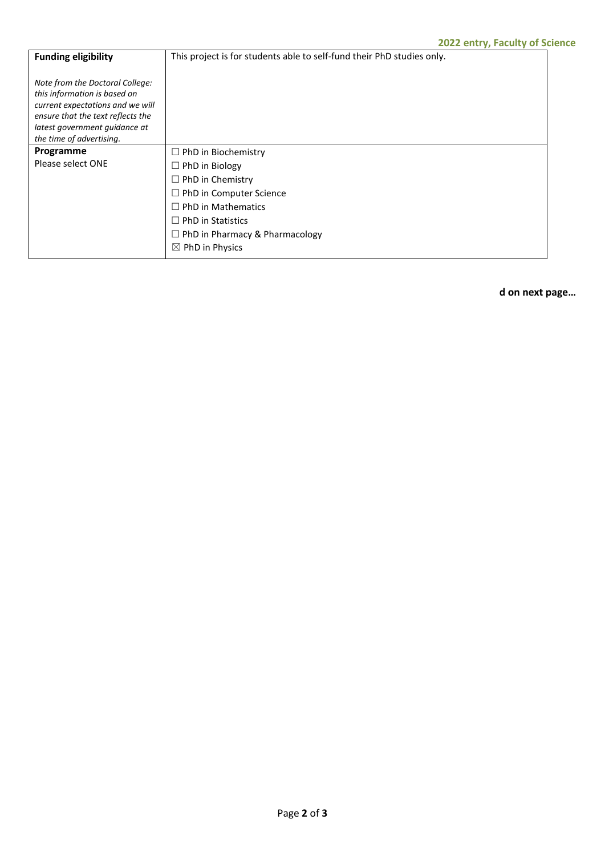| <b>Funding eligibility</b>                                                                                                                                                                            | . .<br>This project is for students able to self-fund their PhD studies only. |
|-------------------------------------------------------------------------------------------------------------------------------------------------------------------------------------------------------|-------------------------------------------------------------------------------|
| Note from the Doctoral College:<br>this information is based on<br>current expectations and we will<br>ensure that the text reflects the<br>latest government quidance at<br>the time of advertising. |                                                                               |
| Programme                                                                                                                                                                                             | $\Box$ PhD in Biochemistry                                                    |
| Please select ONE                                                                                                                                                                                     | $\Box$ PhD in Biology                                                         |
|                                                                                                                                                                                                       | $\Box$ PhD in Chemistry                                                       |
|                                                                                                                                                                                                       | $\Box$ PhD in Computer Science                                                |
|                                                                                                                                                                                                       | $\Box$ PhD in Mathematics                                                     |
|                                                                                                                                                                                                       | $\Box$ PhD in Statistics                                                      |
|                                                                                                                                                                                                       | $\Box$ PhD in Pharmacy & Pharmacology                                         |
|                                                                                                                                                                                                       | $\boxtimes$ PhD in Physics                                                    |

**d on next page…**